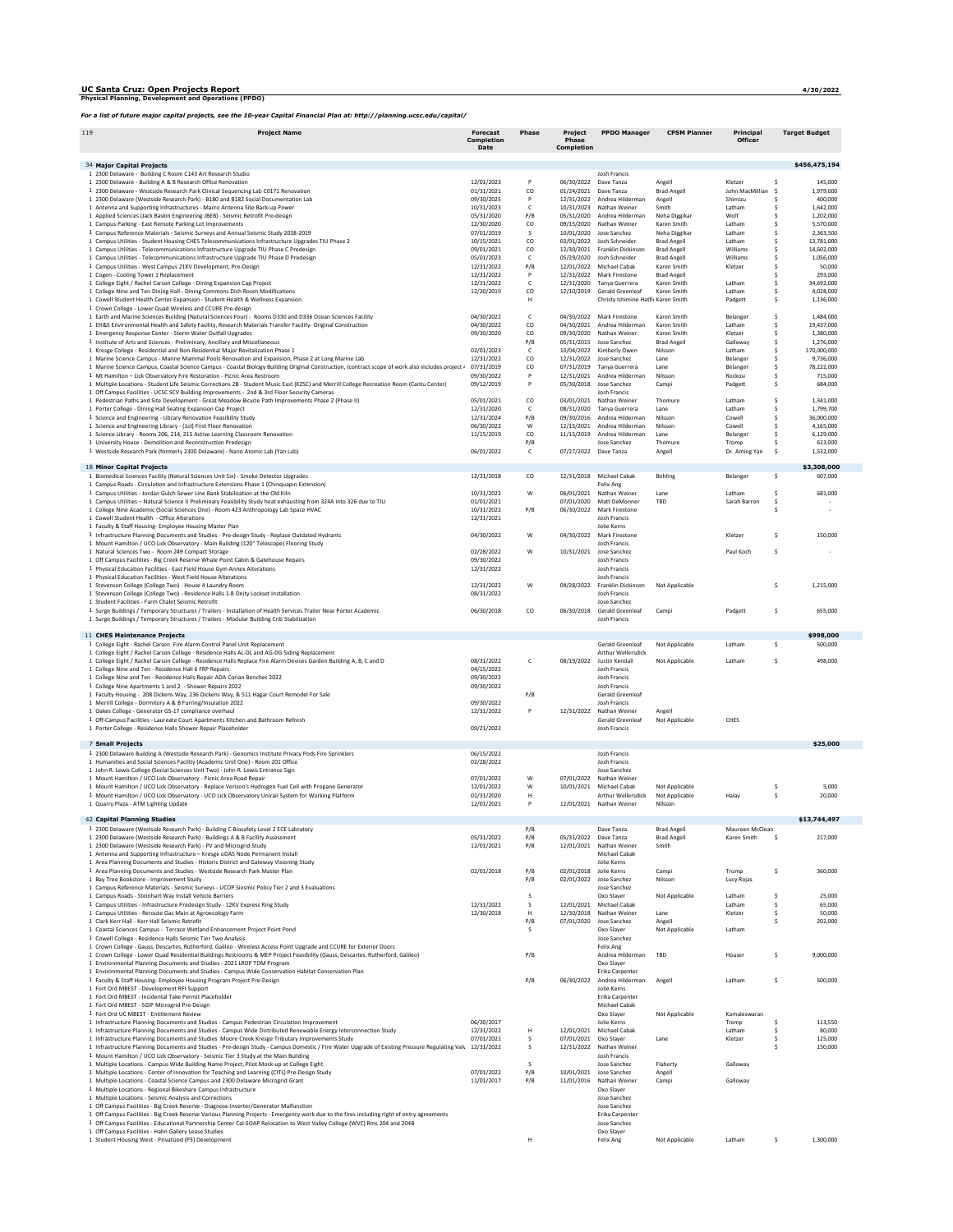## UC Santa Cruz: Open Projects Report **4**/**30**/2022 Physical Planning, Development and Operations (PPDO)

**Project Name** 

| 19                                                                                               | <b>Project Name</b> | <b>Forecast</b><br><b>Completion</b><br>Date | Phase | <b>Project</b><br>Phase<br><b>Completion</b> | <b>PPDO Manager</b> | <b>CPSM Planner</b> | Principal<br><b>Officer</b> | <b>Target Budget</b> |
|--------------------------------------------------------------------------------------------------|---------------------|----------------------------------------------|-------|----------------------------------------------|---------------------|---------------------|-----------------------------|----------------------|
|                                                                                                  |                     |                                              |       |                                              |                     |                     |                             |                      |
| 34 Major Capital Projects                                                                        |                     |                                              |       |                                              |                     |                     |                             | \$456,475,194        |
| 1 2300 Delaware - Building C Room C143 Art Research Studio                                       |                     |                                              |       |                                              | Josh Francis        |                     |                             |                      |
| 1 2300 Delaware - Building A & B Research Office Renovation                                      |                     | 12/01/2023                                   | P     | 06/30/2022                                   | Dave Tanza          | Angell              | Kletzer                     | 145,000              |
| . 2300 Delaware - Westside Research Park Clinical Sequencing Lab C0171 Renovation                |                     | 01/31/2021                                   | CO.   | 01/24/2021                                   | Dave Tanza          | <b>Brad Angell</b>  | John MacMillian             | 1,979,000            |
| L 2300 Delaware (Westside Research Park) - B180 and B182 Social Documentation Lab                |                     | 09/30/2025                                   | P     | 12/31/2022                                   | Andrea Hilderman    | Angell              | Shimizu                     | 400,000              |
| 1 Antenna and Supporting Infrastructures - Macro Antenna Site Back-up Power                      |                     | 10/31/2023                                   |       | 10/31/2023                                   | Nathan Weiner       | Smith               | Latham                      | 1,642,000            |
| L Applied Sciences (Jack Baskin Engineering JBEB) - Seismic Retrofit Pre-design                  |                     | 05/31/2020                                   | P/B   | 05/31/2020                                   | Andrea Hilderman    | Neha Diggikar       | Wolf                        | 1,202,000            |
| 1 Campus Parking - East Remote Parking Lot Improvements                                          |                     | 12/30/2020                                   | CO.   | 09/15/2020                                   | Nathan Weiner       | Karen Smith         | Latham                      | 5,570,000            |
| 1 Campus Reference Materials - Seismic Surveys and Annual Seismic Study 2018-2019                |                     | 07/01/2019                                   |       | 10/01/2020                                   | Jose Sanchez        | Neha Diggikar       | Latham                      | 2,363,500            |
| L Campus Utilities - Student Housing CHES Telecommunications Infrastructure Upgrades TIU Phase 2 |                     | 10/15/2021                                   | CO.   | 03/01/2022                                   | Josh Schneider      | <b>Brad Angell</b>  | Latham                      | 13,781,000           |
| 1 Campus Utilities - Telecommunications Infrastructure Upgrade TIU Phase C Predesign             |                     | 09/01/2021                                   | CO.   | 12/30/2021                                   | Franklin Dickinson  | <b>Brad Angell</b>  | Williams                    | 14,602,000           |
| 1 Campus Utilities - Telecommunications Infrastructure Upgrade TIU Phase D Predesign             |                     | 05/01/2023                                   |       | 05/29/2020                                   | Josh Schneider      | <b>Brad Angell</b>  | Williams                    | 1,056,000            |

| 1 Antenna and Supporting Infrastructures - Macro Antenna Site Back-up Power                                                                                                               | 10/31/2023 | c            |                       | 10/31/2023 Nathan Weiner            | Smith              | Latham          | -S     | 1,642,000    |
|-------------------------------------------------------------------------------------------------------------------------------------------------------------------------------------------|------------|--------------|-----------------------|-------------------------------------|--------------------|-----------------|--------|--------------|
| 1 Applied Sciences (Jack Baskin Engineering JBEB) - Seismic Retrofit Pre-design                                                                                                           | 05/31/2020 | P/B          | 05/31/2020            | Andrea Hilderman                    | Neha Diggikar      | Wolf            | \$     | 1,202,000    |
| 1 Campus Parking - East Remote Parking Lot Improvements                                                                                                                                   | 12/30/2020 | CO           | 09/15/2020            | Nathan Weiner                       | Karen Smith        | Latham          | s      | 5.570.000    |
| 1 Campus Reference Materials - Seismic Surveys and Annual Seismic Study 2018-2019                                                                                                         | 07/01/2019 | s            | 10/01/2020            | Jose Sanchez                        | Neha Diggikar      | Latham          | s      | 2,363,500    |
| 1 Campus Utilities - Student Housing CHES Telecommunications Infrastructure Upgrades TIU Phase 2                                                                                          | 10/15/2021 | co           | 03/01/2022            | Josh Schneider                      | <b>Brad Angell</b> | Latham          | \$     | 13,781,000   |
| 1 Campus Utilities - Telecommunications Infrastructure Upgrade TIU Phase C Predesign                                                                                                      | 09/01/2021 | CO           | 12/30/2021            | Franklin Dickinson                  | <b>Brad Angell</b> | Williams        | \$.    | 14.602.000   |
| 1 Campus Utilities - Telecommunications Infrastructure Upgrade TIU Phase D Predesign                                                                                                      | 05/01/2023 | c            | 05/29/2020            | Josh Schneider                      | <b>Brad Angell</b> | Williams        | s      | 1,056,000    |
| 1 Campus Utilities - West Campus 21KV Development, Pre-Design                                                                                                                             | 12/31/2022 | P/B          | 12/01/2022            | Michael Cabak                       | Karen Smith        | Kletzer         | s.     | 50,000       |
| 1 Cogen - Cooling Tower 1 Replacement                                                                                                                                                     | 12/31/2022 | P            | 12/31/2022            | Mark Firestone                      | <b>Brad Angell</b> |                 | s      | 293,000      |
| 1 College Eight / Rachel Carson College - Dining Expansion Cap Project                                                                                                                    | 12/31/2022 | c            | 12/31/2020            | Tanya Guerrera                      | Karen Smith        | Latham          | \$.    | 34,692,000   |
| 1 College Nine and Ten Dining Hall - Dining Commons Dish Room Modifications                                                                                                               | 12/20/2019 | CO           | 12/10/2019            | <b>Gerald Greenleaf</b>             | Karen Smith        | Latham          | s.     | 4.028.000    |
| 1 Cowell Student Health Center Expansion - Student Health & Wellness Expansion                                                                                                            |            | н            |                       | Christy Ishimine Hatfic Karen Smith |                    | Padgett         | s      | 1,136,000    |
| 1 Crown College - Lower Quad Wireless and CCURE Pre-design                                                                                                                                |            |              |                       |                                     |                    |                 |        |              |
| 1 Earth and Marine Sciences Building (Natural Sciences Four) - Rooms D330 and D336 Ocean Sciences Facility                                                                                | 04/30/2022 | $\mathsf{C}$ |                       | 04/30/2022 Mark Firestone           | Karen Smith        | Belanger        | \$     | 1,484,000    |
|                                                                                                                                                                                           | 04/30/2022 | co           | 04/30/2021            | Andrea Hilderman                    | Karen Smith        | Latham          | \$     | 19,437,000   |
| 1 EH&S Environmental Health and Safety Facility, Research Materials Transfer Facility- Original Construction<br>1 Emergency Response Center - Storm Water Outfall Upgrades                | 09/30/2020 | CO           | 09/30/2020            | Nathan Weiner                       | Karen Smith        | Kletzer         | s.     | 1.380.000    |
| 1 Institute of Arts and Sciences - Preliminary, Ancillary and Miscellaneous                                                                                                               |            |              | 05/31/2015            | Jose Sanchez                        | <b>Brad Angell</b> | Galloway        | Ś      | 1,276,000    |
| 1 Kresge College - Residential and Non-Residential Major Revitalization Phase 1                                                                                                           | 02/01/2023 | P/B<br>c     | 10/04/2022            | Kimberly Owen                       | Nilsson            | Latham          | s.     | 170.000.000  |
|                                                                                                                                                                                           |            |              |                       |                                     | Lane               | Belanger        |        |              |
| 1 Marine Science Campus - Marine Mammal Pools Renovation and Expansion, Phase 2 at Long Marine Lab                                                                                        | 12/31/2022 | $_{\rm CO}$  | 12/31/2022            | Jose Sanchez                        | Lane               |                 | \$.    | 9,736,000    |
| 1 Marine Science Campus, Coastal Science Campus - Coastal Biology Building Original Construction, (contract scope of work also includes project a                                         | 07/31/2019 | co           | 07/31/2019            | Tanya Guerrera                      |                    | Belanger        | \$     | 78,222,000   |
| 1 Mt Hamilton - Lick Observatory Fire Restoration - Picnic Area Restroom                                                                                                                  | 09/30/2022 | P            | 12/31/2021            | Andrea Hilderman                    | Nilsson            | Rockosi         | s      | 715,000      |
| 1 Multiple Locations - Student Life Seismic Corrections 2B - Student Music East (KZSC) and Merrill College Recreation Room (Cantu Center)                                                 | 09/12/2019 | P            | 05/30/2018            | Jose Sanchez                        | Campi              | Padgett         | Ś      | 684,000      |
| 1 Off Campus Facilities - UCSC SCV Building Improvements - 2nd & 3rd Floor Security Cameras                                                                                               |            |              |                       | Josh Francis                        |                    |                 |        |              |
| 1 Pedestrian Paths and Site Development - Great Meadow Bicycle Path Improvements Phase 2 (Phase II)                                                                                       | 05/01/2021 | $_{\rm CO}$  | 03/01/2021            | Nathan Weiner                       | Thomure            | Latham          | Ś      | 1,341,000    |
| 1 Porter College - Dining Hall Seating Expansion Cap Project                                                                                                                              | 12/31/2020 | c            | 08/31/2020            | Tanya Guerrera                      | Lane               | Latham          | \$     | 1,799,700    |
| 1 Science and Engineering - Library Renovation Feasibility Study                                                                                                                          | 12/31/2024 | P/B          | 09/30/2016            | Andrea Hilderman                    | Nilsson            | Cowell          | s      | 36,000,000   |
| 1 Science and Engineering Library - (1st) First Floor Renovation                                                                                                                          | 06/30/2022 | W            | 12/15/2021            | Andrea Hilderman                    | Nilsson            | Cowell          | \$     | 4,165,000    |
| 1 Science Library - Rooms 206, 214, 215 Active Learning Classroom Renovation                                                                                                              | 11/15/2019 | co           | 11/15/2019            | Andrea Hilderman                    | Lane               | Belanger        | s.     | 6.129.000    |
| 1 University House - Demolition and Reconstruction Predesign                                                                                                                              |            | P/B          |                       | Jose Sanchez                        | Thomure            | Tromp           | s.     | 613,000      |
| 1 Westside Research Park (formerly 2300 Delaware) - Nano Atomic Lab (Yan Lab)                                                                                                             | 06/01/2022 | c            | 07/27/2022 Dave Tanza |                                     | Angell             | Dr. Aming Yan   | -S     | 1,532,000    |
|                                                                                                                                                                                           |            |              |                       |                                     |                    |                 |        |              |
| 18 Minor Capital Projects                                                                                                                                                                 |            |              |                       |                                     |                    |                 |        | \$3,308,000  |
| 1 Biomedical Sciences Facility (Natural Sciences Unit Six) - Smoke Detector Upgrades                                                                                                      | 12/31/2018 | CO           |                       | 12/31/2018 Michael Cabak            | Behling            | Belanger        | -\$    | 607,000      |
| 1 Campus Roads - Circulation and Infrastructure Extensions Phase 1 (Chinquapin Extension)                                                                                                 |            |              |                       | Felix Ang                           |                    |                 |        |              |
| 1 Campus Utilities - Jordan Gulch Sewer Line Bank Stabilization at the Old Kiln                                                                                                           | 10/31/2022 | W            | 06/01/2021            | Nathan Weiner                       | Lane               | Latham          | \$     | 681,000      |
| 1 Campus Utilities - Natural Science II Preliminary Feasibility Study heat exhausting from 324A into 326 due to TIU                                                                       | 01/01/2021 |              |                       | 07/01/2020 Matt DeMonner            | TBD                | Sarah Barron    | -S     |              |
| 1 College Nine Academic (Social Sciences One) - Room 423 Anthropology Lab Space HVAC                                                                                                      | 10/31/2022 | P/B          | 06/30/2022            | Mark Firestone                      |                    |                 | \$     |              |
| 1 Cowell Student Health - Office Alterations                                                                                                                                              | 12/31/2021 |              |                       | Josh Francis                        |                    |                 |        |              |
| 1 Faculty & Staff Housing- Employee Housing Master Plan                                                                                                                                   |            |              |                       | <b>Jolie Kerns</b>                  |                    |                 |        |              |
|                                                                                                                                                                                           | 04/30/2022 | W            | 04/30/2022            | <b>Mark Firestone</b>               |                    | Kletzer         | s      | 150,000      |
| 1 Infrastructure Planning Documents and Studies - Pre-design Study - Replace Outdated Hydrants<br>1 Mount Hamilton / UCO Lick Observatory - Main Building (120" Telescope) Flooring Study |            |              |                       | <b>Josh Francis</b>                 |                    |                 |        |              |
|                                                                                                                                                                                           |            |              |                       |                                     |                    |                 |        |              |
| 1 Natural Sciences Two - Room 249 Compact Storage                                                                                                                                         | 02/28/2022 | W            |                       | 10/31/2021 Jose Sanchez             |                    | Paul Koch       | Ś      |              |
| 1 Off Campus Facilities - Big Creek Reserve Whale Point Cabin & Gatehouse Repairs                                                                                                         | 09/30/2022 |              |                       | Josh Francis                        |                    |                 |        |              |
| 1 Physical Education Facilities - East Field House Gym Annex Alterations                                                                                                                  | 12/31/2022 |              |                       | <b>Josh Francis</b>                 |                    |                 |        |              |
| 1 Physical Education Facilities - West Field House Alterations                                                                                                                            |            |              |                       | <b>Josh Francis</b>                 |                    |                 |        |              |
| 1 Stevenson College (College Two) - House 4 Laundry Room                                                                                                                                  | 12/31/2022 | W            | 04/28/2022            | Franklin Dickinson                  | Not Applicable     |                 | Ś      | 1,215,000    |
| 1 Stevenson College (College Two) - Residence Halls 1-8 Onity Lockset Installation                                                                                                        | 08/31/2022 |              |                       | <b>Josh Francis</b>                 |                    |                 |        |              |
| 1 Student Facilities - Farm Chalet Seismic Retrofit                                                                                                                                       |            |              |                       | Jose Sanchez                        |                    |                 |        |              |
| 1 Surge Buildings / Temporary Structures / Trailers - Installation of Health Services Trailer Near Porter Academic                                                                        | 06/30/2018 | CO           | 06/30/2018            | Gerald Greenleaf                    | Campi              | Padgett         | s      | 655,000      |
| 1 Surge Buildings / Temporary Structures / Trailers - Modular Building Crib Stabilization                                                                                                 |            |              |                       | Josh Francis                        |                    |                 |        |              |
|                                                                                                                                                                                           |            |              |                       |                                     |                    |                 |        |              |
| 11 CHES Maintenance Projects                                                                                                                                                              |            |              |                       |                                     |                    |                 |        | \$998,000    |
| 1 College Eight - Rachel Carson Fire Alarm Control Panel Unit Replacement                                                                                                                 |            |              |                       | Gerald Greenleaf                    | Not Applicable     | Latham          | s      | 500,000      |
|                                                                                                                                                                                           |            |              |                       | <b>Arthur Wellersdick</b>           |                    |                 |        |              |
|                                                                                                                                                                                           |            |              |                       |                                     |                    |                 |        |              |
| 1 College Eight / Rachel Carson College - Residence Halls AL-DL and AG-DG Siding Replacement                                                                                              |            |              |                       |                                     |                    |                 |        |              |
| 1 College Eight / Rachel Carson College - Residence Halls Replace Fire Alarm Devices Garden Building A, B, C and D                                                                        | 08/31/2022 | с            | 08/19/2022            | Justin Kendall                      | Not Applicable     | Latham          | s      | 498,000      |
| 1 College Nine and Ten - Residence Hall 6 FRP Repairs                                                                                                                                     | 04/15/2022 |              |                       | Josh Francis                        |                    |                 |        |              |
| 1 College Nine and Ten - Residence Halls Repair ADA Corian Benches 2022                                                                                                                   | 09/30/2022 |              |                       | Josh Francis                        |                    |                 |        |              |
| 1 College Nine Apartments 1 and 2 - Shower Repairs 2022                                                                                                                                   | 09/30/2022 |              |                       | Josh Francis                        |                    |                 |        |              |
| 1 Faculty Housing - 208 Dickens Way, 236 Dickens Way, & 511 Hagar Court Remodel For Sale                                                                                                  |            | P/B          |                       | <b>Gerald Greenleaf</b>             |                    |                 |        |              |
| 1 Merrill College - Dormitory A & B Furring/Insulation 2022                                                                                                                               | 09/30/2022 |              |                       | Josh Francis                        |                    |                 |        |              |
| 1 Oakes College - Generator GS-17 compliance overhaul                                                                                                                                     | 12/31/2022 |              | 12/31/2022            | Nathan Weiner                       | Angell             |                 |        |              |
| 1 Off-Campus Facilities - Laureate Court Apartments Kitchen and Bathroom Refresh                                                                                                          |            |              |                       | Gerald Greenleaf                    | Not Applicable     | CHES            |        |              |
| 1 Porter College - Residence Halls Shower Repair Placeholder                                                                                                                              | 09/21/2022 |              |                       | Josh Francis                        |                    |                 |        |              |
|                                                                                                                                                                                           |            |              |                       |                                     |                    |                 |        |              |
| 7 Small Projects                                                                                                                                                                          |            |              |                       |                                     |                    |                 |        | \$25,000     |
| 1 2300 Delaware Building A (Westside Research Park) - Genomics Institute Privacy Pods Fire Sprinklers                                                                                     | 06/15/2022 |              |                       | Josh Francis                        |                    |                 |        |              |
| 1 Humanities and Social Sciences Facility (Academic Unit One) - Room 201 Office                                                                                                           | 02/28/2022 |              |                       | Josh Francis                        |                    |                 |        |              |
| 1 John R. Lewis College (Social Sciences Unit Two) - John R. Lewis Entrance Sign                                                                                                          |            |              |                       | Jose Sanchez                        |                    |                 |        |              |
|                                                                                                                                                                                           |            |              | 07/01/2022            | Nathan Weiner                       |                    |                 |        |              |
| 1 Mount Hamilton / UCO Lick Observatory - Picnic Area Road Repair                                                                                                                         | 07/01/2022 | W            |                       |                                     |                    |                 |        |              |
| 1 Mount Hamilton / UCO Lick Observatory - Replace Verizon's Hydrogen Fuel Cell with Propane Generator                                                                                     | 12/01/2022 | W            | 10/01/2021            | Michael Cabak                       | Not Applicable     |                 | S<br>Ś | 5,000        |
| 1 Mount Hamilton / UCO Lick Observatory - UCO Lick Observatory Unirail System for Working Platform                                                                                        | 01/31/2020 | H<br>P       |                       | Arthur Wellersdick                  | Not Applicable     | Halay           |        | 20,000       |
| 1 Quarry Plaza - ATM Lighting Update                                                                                                                                                      | 12/01/2021 |              |                       | 12/01/2021 Nathan Weiner            | Nilsson            |                 |        |              |
|                                                                                                                                                                                           |            |              |                       |                                     |                    |                 |        |              |
| 42 Capital Planning Studies                                                                                                                                                               |            |              |                       |                                     |                    |                 |        | \$13,744,497 |
| 1 2300 Delaware (Westside Research Park) - Building C Biosafety Level 2 ECE Labratory                                                                                                     |            | P/B          |                       | Dave Tanza                          | <b>Brad Angell</b> | Maureen McClean |        |              |
| 1 2300 Delaware (Westside Research Park) - Buildings A & B Facility Assessment                                                                                                            | 05/31/2022 | P/B          | 05/31/2022 Dave Tanza |                                     | <b>Brad Angell</b> | Karen Smith     | - S    | 217,000      |
| 1 2300 Delaware (Westside Research Park) - PV and Microgrid Study                                                                                                                         | 12/01/2021 | P/B          |                       | 12/01/2021 Nathan Weiner            | Smith              |                 |        |              |
| 1 Antenna and Supporting Infrastructure - Kresge oDAS Node Permanent Install                                                                                                              |            |              |                       | Michael Cabak                       |                    |                 |        |              |
| 1 Area Planning Documents and Studies - Historic District and Gateway Visioning Study                                                                                                     |            |              |                       | <b>Inlie Kerns</b>                  |                    |                 |        |              |
| 1 Area Planning Documents and Studies - Westside Research Park Master Plan                                                                                                                | 02/01/2018 | P/B          | 02/01/2018            | Jolie Kerns                         | Campi              | Tromp           | \$     | 360,000      |
| 1 Bay Tree Bookstore - Improvement Study                                                                                                                                                  |            | P/B          |                       | 02/01/2022 Jose Sanchez             | Nilsson            | Lucy Rojas      |        |              |
| 1 Campus Reference Materials - Seismic Surveys - UCOP Siesmic Policy Tier 2 and 3 Evaluations                                                                                             |            |              |                       | Jose Sanchez                        |                    |                 |        |              |
| 1 Campus Roads - Steinhart Way Install Vehicle Barriers                                                                                                                                   |            | s            |                       | Oxo Slaver                          | Not Applicable     | Latham          | Ś      | 25,000       |
| 1 Campus Utilities - Infrastructure Predesien Study - 12KV Express Rine Study                                                                                                             | 12/31/2022 |              | 12/01/2021            | Michael Cabak                       |                    | Latham          |        | 65,000       |
| 1 Campus Utilities - Reroute Gas Main at Agroecology Farm                                                                                                                                 | 12/30/2018 | н            |                       | 12/30/2018 Nathan Weiner            | Lane               | Kletzer         | \$     | 50,000       |
| 1 Clark Kerr Hall - Kerr Hall Seismic Retrofit                                                                                                                                            |            | P/B          |                       | 07/01/2020 Jose Sanchez             | Angell             |                 | \$     | 202,000      |
| 1 Coastal Sciences Campus - Terrace Wetland Enhancement Project Point Pond                                                                                                                |            | s            |                       | Oxo Slayer                          | Not Applicable     | Latham          |        |              |
| 1 Cowell College - Residence Halls Seismic Tier Two Analysis                                                                                                                              |            |              |                       | Jose Sanchez                        |                    |                 |        |              |
|                                                                                                                                                                                           |            |              |                       |                                     |                    |                 |        |              |
| 1 Crown College - Gauss, Descartes, Rutherford, Galileo - Wireless Access Point Upgrade and CCURE for Exterior Doors                                                                      |            |              |                       | Felix Ang                           | TBD                |                 |        |              |
| 1 Crown College - Lower Quad Residential Buildings Restrooms & MEP Project Feasibility (Gauss, Descartes, Rutherford, Galileo)                                                            |            | P/B          |                       | Andrea Hilderman                    |                    | Houser          | Ś      | 9,000,000    |
| 1 Environmental Planning Documents and Studies - 2021 LRDP TDM Program                                                                                                                    |            |              |                       | Oxo Slayer                          |                    |                 |        |              |
| 1 Environmental Planning Documents and Studies - Campus Wide Conservation Habitat Conservation Plan                                                                                       |            |              |                       | Erika Carpenter                     |                    |                 |        |              |
| 1 Faculty & Staff Housing- Employee Housing Program Project Pre-Design                                                                                                                    |            | P/B          |                       | 06/30/2022 Andrea Hilderman         | Angell             | Latham          | s      | 500,000      |
| 1 Fort Ord MBEST - Development RFI Support                                                                                                                                                |            |              |                       | <b>Jolie Kerns</b>                  |                    |                 |        |              |
| 1 Fort Ord MBEST - Incidental Take Permit Placeholder                                                                                                                                     |            |              |                       | Erika Carpenter                     |                    |                 |        |              |
| 1 Fort Ord MBEST - SGIP Microgrid Pre-Design                                                                                                                                              |            |              |                       | Michael Cabak                       |                    |                 |        |              |
| 1 Fort Ord UC MBEST - Entitlement Review                                                                                                                                                  |            |              |                       | Oxo Slayer                          | Not Applicable     | Kamaleswarar    |        |              |
| 1 Infrastructure Planning Documents and Studies - Campus Pedestrian Circulation Improvement                                                                                               | 06/30/2017 |              |                       | Jolie Kerns                         |                    | Tromp           | -S     | 113.550      |
| 1 Infrastructure Planning Documents and Studies - Campus Wide Distributed Renewable Energy Interconnection Study                                                                          | 12/31/2022 | н            |                       | 12/01/2021 Michael Cabak            |                    | Latham          | s      | 80,000       |
| 1 Infrastructure Planning Documents and Studies Moore Creek Kresge Tributary Improvements Study                                                                                           | 07/01/2021 | s            | 07/01/2021 Oxo Slayer |                                     | Lane               | Kletzer         | s      | 125,000      |
| 1 Infrastructure Planning Documents and Studies - Pre-design Study - Campus Domestic / Fire Water Upgrade of Existing Pressure Regulating Vah                                             | 12/31/2022 | s            |                       | 12/31/2022 Nathan Weiner            |                    |                 | Ś      | 150,000      |
| 1 Mount Hamilton / UCO Lick Observatory - Seismic Tier 3 Study at the Main Building                                                                                                       |            |              |                       | Josh Francis                        |                    |                 |        |              |
| 1 Multiple Locations - Campus Wide Building Name Project, Pilot Mock-up at College Eight                                                                                                  |            | s            |                       | Jose Sanchez                        | Flaherty           | Galloway        |        |              |
| 1 Multiple Locations - Center of Innovation for Teaching and Learning (CITL) Pre-Design Study                                                                                             | 07/01/2022 | P/B          |                       | 10/01/2021 Jose Sanchez             | Angell             |                 |        |              |
|                                                                                                                                                                                           |            | P/B          |                       | 11/01/2016 Nathan Weiner            |                    |                 |        |              |
| 1 Multiple Locations - Coastal Science Campus and 2300 Delaware Microgrid Grant<br>1 Multiple Locations - Regional Bikeshare Campus Infrastructure                                        | 11/01/2017 |              |                       |                                     | Campi              | Galloway        |        |              |
| 1 Multiple Locations - Seismic Analysis and Corrections                                                                                                                                   |            |              |                       | Oxo Slayer<br>Jose Sanchez          |                    |                 |        |              |